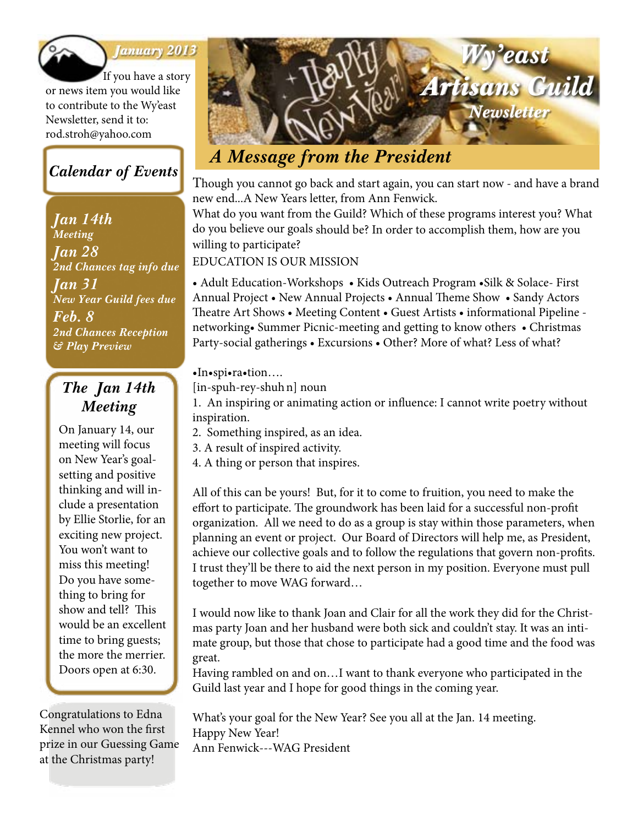

#### *January 2013*

If you have a story or news item you would like to contribute to the Wy'east Newsletter, send it to: rod.stroh@yahoo.com

### *Calendar of Events*

*Jan 14th Meeting Jan 28 2nd Chances tag info due Jan 31 New Year Guild fees due Feb. 8 2nd Chances Reception & Play Preview*

### *The Jan 14th Meeting*

On January 14, our meeting will focus on New Year's goalsetting and positive thinking and will include a presentation by Ellie Storlie, for an exciting new project. You won't want to miss this meeting! Do you have something to bring for show and tell? This would be an excellent time to bring guests; the more the merrier. Doors open at 6:30.

Congratulations to Edna Kennel who won the first prize in our Guessing Game at the Christmas party!



Though you cannot go back and start again, you can start now - and have a brand new end...A New Years letter, from Ann Fenwick.

What do you want from the Guild? Which of these programs interest you? What do you believe our goals should be? In order to accomplish them, how are you willing to participate?

#### EDUCATION IS OUR MISSION

• Adult Education-Workshops • Kids Outreach Program • Silk & Solace- First Annual Project • New Annual Projects • Annual Theme Show • Sandy Actors Theatre Art Shows • Meeting Content • Guest Artists • informational Pipeline networking• Summer Picnic-meeting and getting to know others • Christmas Party-social gatherings • Excursions • Other? More of what? Less of what?

#### •In•spi•ra•tion….

[in-spuh-rey-shuhn] noun

1. An inspiring or animating action or influence: I cannot write poetry without inspiration.

- 2. Something inspired, as an idea.
- 3. A result of inspired activity.
- 4. A thing or person that inspires.

All of this can be yours! But, for it to come to fruition, you need to make the effort to participate. The groundwork has been laid for a successful non-profit organization. All we need to do as a group is stay within those parameters, when planning an event or project. Our Board of Directors will help me, as President, achieve our collective goals and to follow the regulations that govern non-profits. I trust they'll be there to aid the next person in my position. Everyone must pull together to move WAG forward…

I would now like to thank Joan and Clair for all the work they did for the Christmas party Joan and her husband were both sick and couldn't stay. It was an intimate group, but those that chose to participate had a good time and the food was great.

Having rambled on and on…I want to thank everyone who participated in the Guild last year and I hope for good things in the coming year.

What's your goal for the New Year? See you all at the Jan. 14 meeting. Happy New Year! Ann Fenwick---WAG President